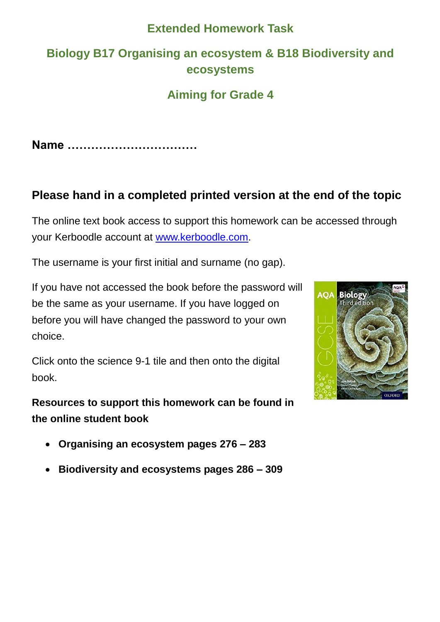## **Extended Homework Task**

# **Biology B17 Organising an ecosystem & B18 Biodiversity and ecosystems**

# **Aiming for Grade 4**

**Name ……………………………**

# **Please hand in a completed printed version at the end of the topic**

The online text book access to support this homework can be accessed through your Kerboodle account at [www.kerboodle.com.](http://www.kerboodle.com/)

The username is your first initial and surname (no gap).

If you have not accessed the book before the password will be the same as your username. If you have logged on before you will have changed the password to your own choice.

Click onto the science 9-1 tile and then onto the digital book.

**Resources to support this homework can be found in the online student book** 

- **Organising an ecosystem pages 276 – 283**
- **Biodiversity and ecosystems pages 286 – 309**

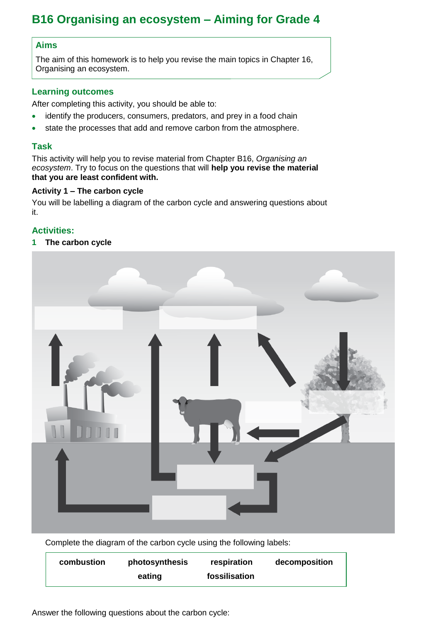# **B16 Organising an ecosystem – Aiming for Grade 4**

### **Aims**

The aim of this homework is to help you revise the main topics in Chapter 16, Organising an ecosystem.

#### **Learning outcomes**

After completing this activity, you should be able to:

- identify the producers, consumers, predators, and prey in a food chain
- state the processes that add and remove carbon from the atmosphere.

#### **Task**

This activity will help you to revise material from Chapter B16, *Organising an ecosystem*. Try to focus on the questions that will **help you revise the material that you are least confident with.**

#### **Activity 1 – The carbon cycle**

You will be labelling a diagram of the carbon cycle and answering questions about it.

## **Activities:**

**1 The carbon cycle**



Complete the diagram of the carbon cycle using the following labels:

| combustion | photosynthesis | respiration   | decomposition |
|------------|----------------|---------------|---------------|
|            | eating         | fossilisation |               |

Answer the following questions about the carbon cycle: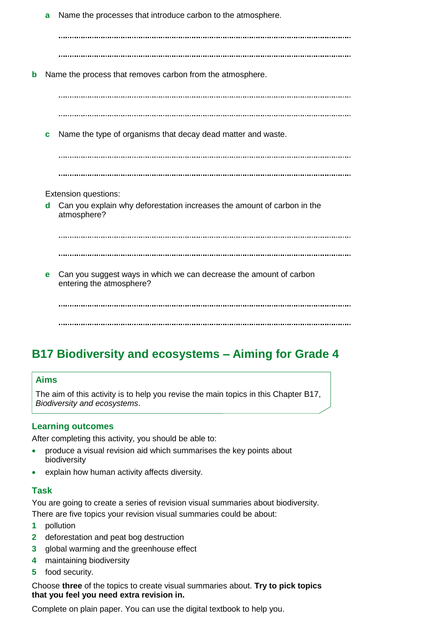**a** Name the processes that introduce carbon to the atmosphere.

**b** Name the process that removes carbon from the atmosphere. **c** Name the type of organisms that decay dead matter and waste. Extension questions: **d** Can you explain why deforestation increases the amount of carbon in the atmosphere? **e** Can you suggest ways in which we can decrease the amount of carbon entering the atmosphere?

## **B17 Biodiversity and ecosystems – Aiming for Grade 4**

#### **Aims**

The aim of this activity is to help you revise the main topics in this Chapter B17, *Biodiversity and ecosystems*.

#### **Learning outcomes**

After completing this activity, you should be able to:

- produce a visual revision aid which summarises the key points about biodiversity
- explain how human activity affects diversity.

#### **Task**

You are going to create a series of revision visual summaries about biodiversity. There are five topics your revision visual summaries could be about:

- **1** pollution
- **2** deforestation and peat bog destruction
- **3** global warming and the greenhouse effect
- **4** maintaining biodiversity
- **5** food security.

Choose **three** of the topics to create visual summaries about. **Try to pick topics that you feel you need extra revision in.**

Complete on plain paper. You can use the digital textbook to help you.